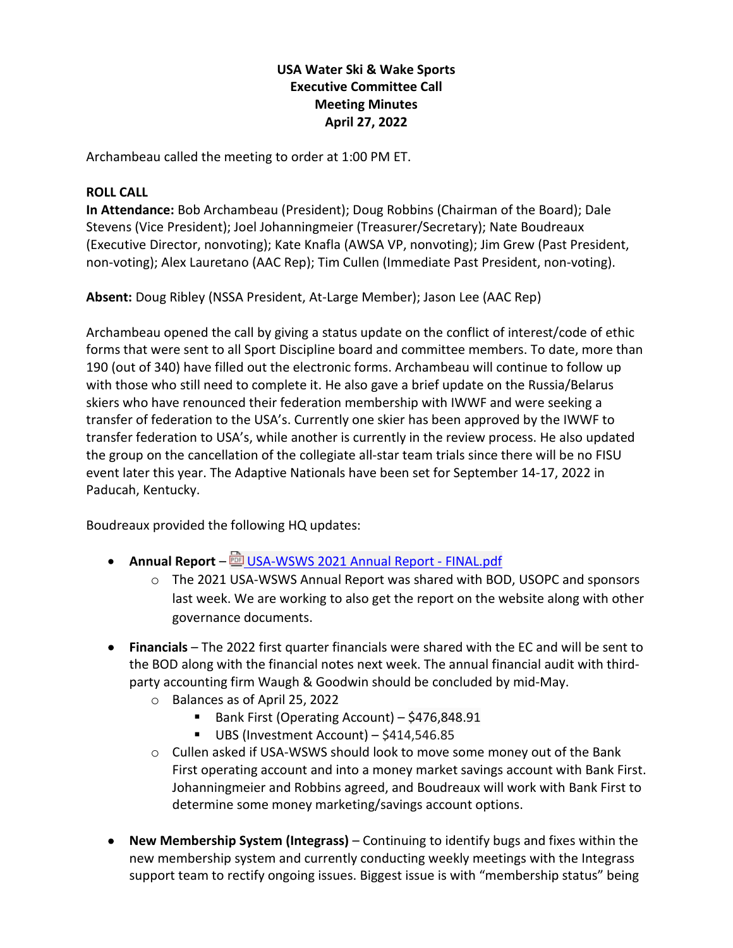# **USA Water Ski & Wake Sports Executive Committee Call Meeting Minutes April 27, 2022**

Archambeau called the meeting to order at 1:00 PM ET.

### **ROLL CALL**

**In Attendance:** Bob Archambeau (President); Doug Robbins (Chairman of the Board); Dale Stevens (Vice President); Joel Johanningmeier (Treasurer/Secretary); Nate Boudreaux (Executive Director, nonvoting); Kate Knafla (AWSA VP, nonvoting); Jim Grew (Past President, non-voting); Alex Lauretano (AAC Rep); Tim Cullen (Immediate Past President, non-voting).

**Absent:** Doug Ribley (NSSA President, At-Large Member); Jason Lee (AAC Rep)

Archambeau opened the call by giving a status update on the conflict of interest/code of ethic forms that were sent to all Sport Discipline board and committee members. To date, more than 190 (out of 340) have filled out the electronic forms. Archambeau will continue to follow up with those who still need to complete it. He also gave a brief update on the Russia/Belarus skiers who have renounced their federation membership with IWWF and were seeking a transfer of federation to the USA's. Currently one skier has been approved by the IWWF to transfer federation to USA's, while another is currently in the review process. He also updated the group on the cancellation of the collegiate all-star team trials since there will be no FISU event later this year. The Adaptive Nationals have been set for September 14-17, 2022 in Paducah, Kentucky.

Boudreaux provided the following HQ updates:

- **Annual Report**  $\frac{d}{dx}$  USA-WSWS 2021 Annual Report FINAL.pdf
	- o The 2021 USA-WSWS Annual Report was shared with BOD, USOPC and sponsors last week. We are working to also get the report on the website along with other governance documents.
- **Financials**  The 2022 first quarter financials were shared with the EC and will be sent to the BOD along with the financial notes next week. The annual financial audit with thirdparty accounting firm Waugh & Goodwin should be concluded by mid-May.
	- o Balances as of April 25, 2022
		- Bank First (Operating Account) \$476,848.91
		- UBS (Investment Account) \$414,546.85
	- $\circ$  Cullen asked if USA-WSWS should look to move some money out of the Bank First operating account and into a money market savings account with Bank First. Johanningmeier and Robbins agreed, and Boudreaux will work with Bank First to determine some money marketing/savings account options.
- **New Membership System (Integrass)** Continuing to identify bugs and fixes within the new membership system and currently conducting weekly meetings with the Integrass support team to rectify ongoing issues. Biggest issue is with "membership status" being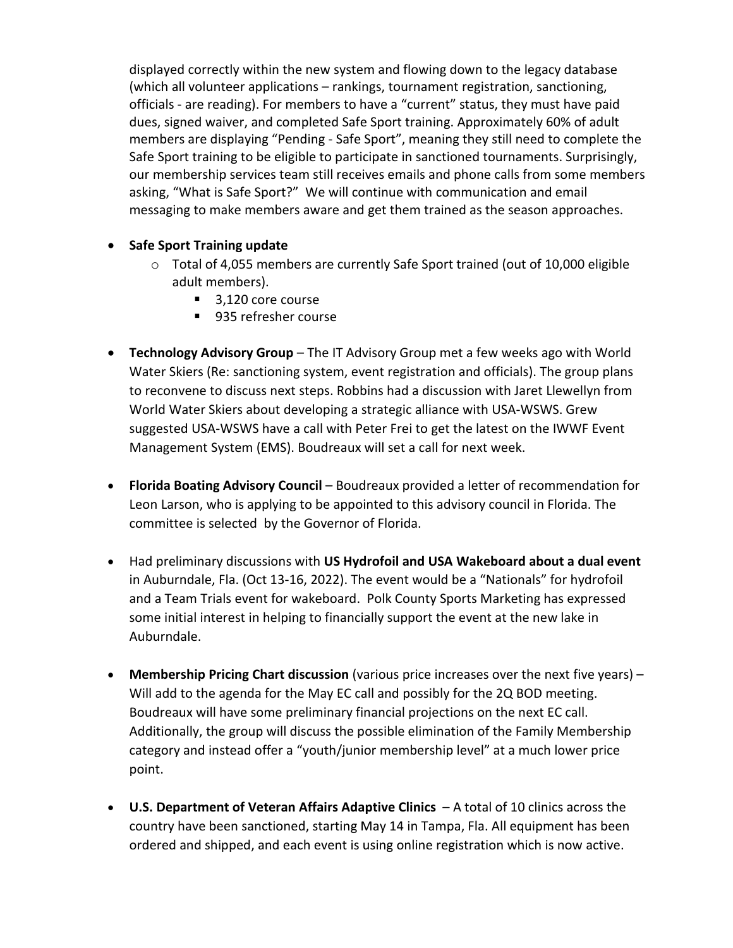displayed correctly within the new system and flowing down to the legacy database (which all volunteer applications – rankings, tournament registration, sanctioning, officials - are reading). For members to have a "current" status, they must have paid dues, signed waiver, and completed Safe Sport training. Approximately 60% of adult members are displaying "Pending - Safe Sport", meaning they still need to complete the Safe Sport training to be eligible to participate in sanctioned tournaments. Surprisingly, our membership services team still receives emails and phone calls from some members asking, "What is Safe Sport?" We will continue with communication and email messaging to make members aware and get them trained as the season approaches.

## • **Safe Sport Training update**

- $\circ$  Total of 4,055 members are currently Safe Sport trained (out of 10,000 eligible adult members).
	- 3,120 core course
	- 935 refresher course
- **Technology Advisory Group** The IT Advisory Group met a few weeks ago with World Water Skiers (Re: sanctioning system, event registration and officials). The group plans to reconvene to discuss next steps. Robbins had a discussion with Jaret Llewellyn from World Water Skiers about developing a strategic alliance with USA-WSWS. Grew suggested USA-WSWS have a call with Peter Frei to get the latest on the IWWF Event Management System (EMS). Boudreaux will set a call for next week.
- **Florida Boating Advisory Council** Boudreaux provided a letter of recommendation for Leon Larson, who is applying to be appointed to this advisory council in Florida. The committee is selected by the Governor of Florida.
- Had preliminary discussions with **US Hydrofoil and USA Wakeboard about a dual event** in Auburndale, Fla. (Oct 13-16, 2022). The event would be a "Nationals" for hydrofoil and a Team Trials event for wakeboard. Polk County Sports Marketing has expressed some initial interest in helping to financially support the event at the new lake in Auburndale.
- **Membership Pricing Chart discussion** (various price increases over the next five years) Will add to the agenda for the May EC call and possibly for the 2Q BOD meeting. Boudreaux will have some preliminary financial projections on the next EC call. Additionally, the group will discuss the possible elimination of the Family Membership category and instead offer a "youth/junior membership level" at a much lower price point.
- **U.S. Department of Veteran Affairs Adaptive Clinics** A total of 10 clinics across the country have been sanctioned, starting May 14 in Tampa, Fla. All equipment has been ordered and shipped, and each event is using online registration which is now active.